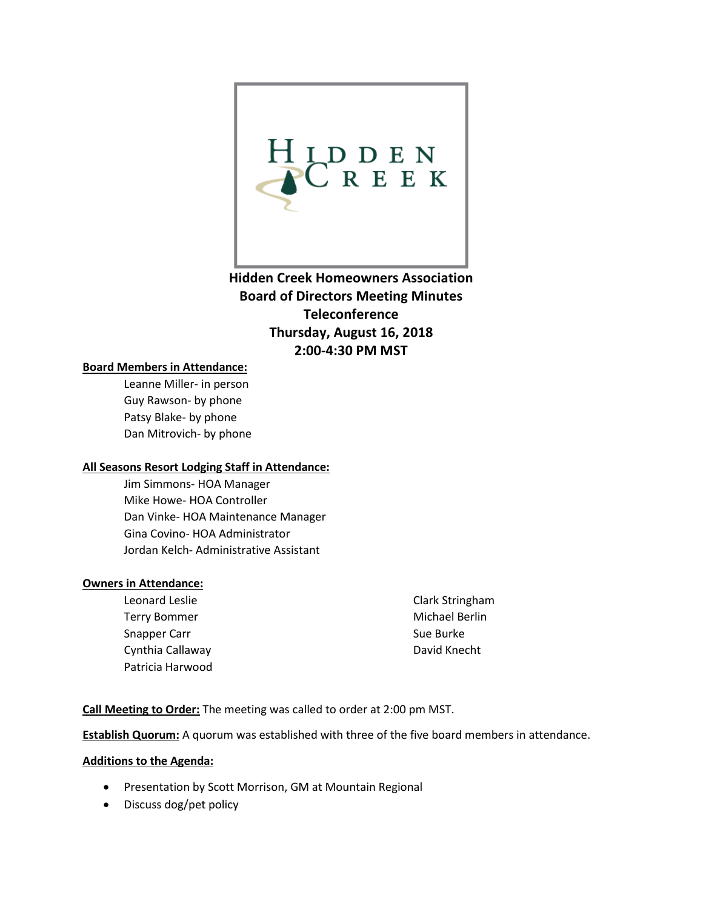

**Hidden Creek Homeowners Association Board of Directors Meeting Minutes Teleconference Thursday, August 16, 2018 2:00-4:30 PM MST**

#### **Board Members in Attendance:**

Leanne Miller- in person Guy Rawson- by phone Patsy Blake- by phone Dan Mitrovich- by phone

#### **All Seasons Resort Lodging Staff in Attendance:**

Jim Simmons- HOA Manager Mike Howe- HOA Controller Dan Vinke- HOA Maintenance Manager Gina Covino- HOA Administrator Jordan Kelch- Administrative Assistant

#### **Owners in Attendance:**

Leonard Leslie Terry Bommer Snapper Carr Cynthia Callaway Patricia Harwood Clark Stringham Michael Berlin Sue Burke David Knecht

**Call Meeting to Order:** The meeting was called to order at 2:00 pm MST.

**Establish Quorum:** A quorum was established with three of the five board members in attendance.

#### **Additions to the Agenda:**

- Presentation by Scott Morrison, GM at Mountain Regional
- Discuss dog/pet policy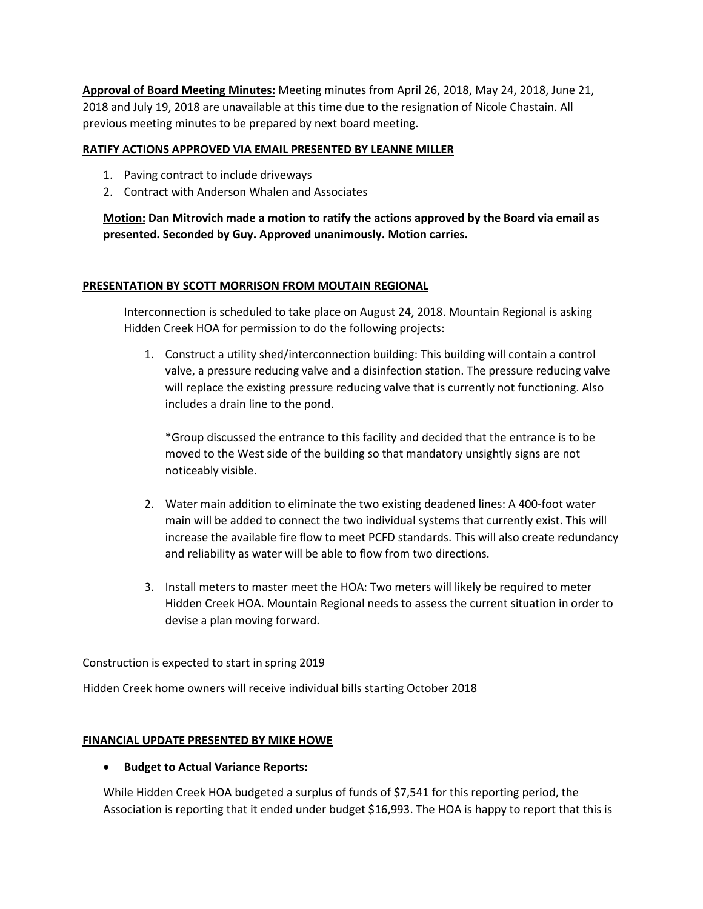**Approval of Board Meeting Minutes:** Meeting minutes from April 26, 2018, May 24, 2018, June 21, 2018 and July 19, 2018 are unavailable at this time due to the resignation of Nicole Chastain. All previous meeting minutes to be prepared by next board meeting.

#### **RATIFY ACTIONS APPROVED VIA EMAIL PRESENTED BY LEANNE MILLER**

- 1. Paving contract to include driveways
- 2. Contract with Anderson Whalen and Associates

**Motion: Dan Mitrovich made a motion to ratify the actions approved by the Board via email as presented. Seconded by Guy. Approved unanimously. Motion carries.** 

#### **PRESENTATION BY SCOTT MORRISON FROM MOUTAIN REGIONAL**

Interconnection is scheduled to take place on August 24, 2018. Mountain Regional is asking Hidden Creek HOA for permission to do the following projects:

1. Construct a utility shed/interconnection building: This building will contain a control valve, a pressure reducing valve and a disinfection station. The pressure reducing valve will replace the existing pressure reducing valve that is currently not functioning. Also includes a drain line to the pond.

\*Group discussed the entrance to this facility and decided that the entrance is to be moved to the West side of the building so that mandatory unsightly signs are not noticeably visible.

- 2. Water main addition to eliminate the two existing deadened lines: A 400-foot water main will be added to connect the two individual systems that currently exist. This will increase the available fire flow to meet PCFD standards. This will also create redundancy and reliability as water will be able to flow from two directions.
- 3. Install meters to master meet the HOA: Two meters will likely be required to meter Hidden Creek HOA. Mountain Regional needs to assess the current situation in order to devise a plan moving forward.

Construction is expected to start in spring 2019

Hidden Creek home owners will receive individual bills starting October 2018

#### **FINANCIAL UPDATE PRESENTED BY MIKE HOWE**

#### • **Budget to Actual Variance Reports:**

While Hidden Creek HOA budgeted a surplus of funds of \$7,541 for this reporting period, the Association is reporting that it ended under budget \$16,993. The HOA is happy to report that this is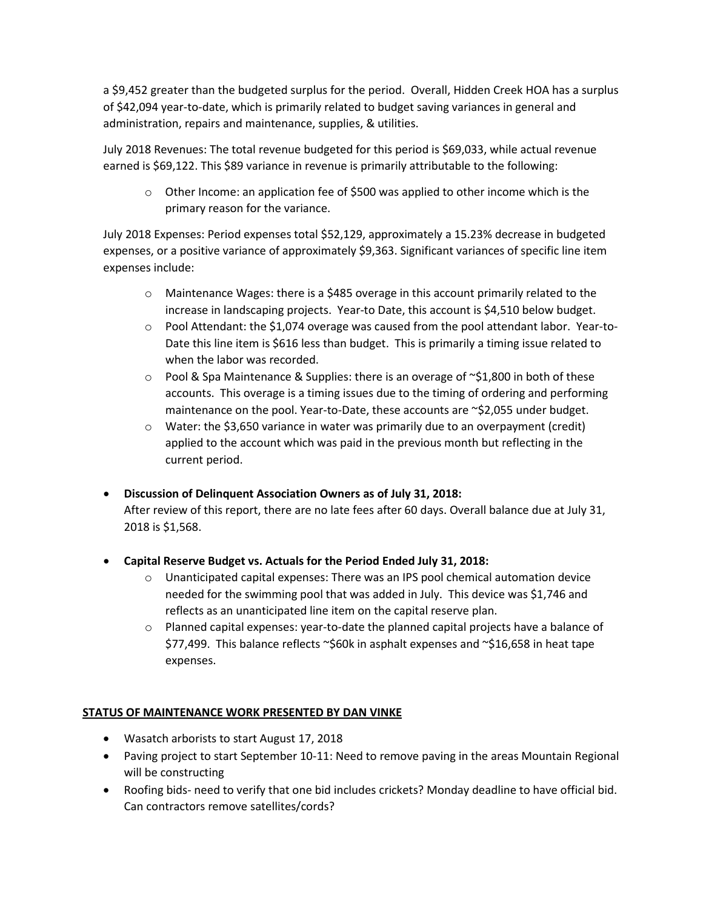a \$9,452 greater than the budgeted surplus for the period. Overall, Hidden Creek HOA has a surplus of \$42,094 year-to-date, which is primarily related to budget saving variances in general and administration, repairs and maintenance, supplies, & utilities.

July 2018 Revenues: The total revenue budgeted for this period is \$69,033, while actual revenue earned is \$69,122. This \$89 variance in revenue is primarily attributable to the following:

 $\circ$  Other Income: an application fee of \$500 was applied to other income which is the primary reason for the variance.

July 2018 Expenses: Period expenses total \$52,129, approximately a 15.23% decrease in budgeted expenses, or a positive variance of approximately \$9,363. Significant variances of specific line item expenses include:

- o Maintenance Wages: there is a \$485 overage in this account primarily related to the increase in landscaping projects. Year-to Date, this account is \$4,510 below budget.
- $\circ$  Pool Attendant: the \$1,074 overage was caused from the pool attendant labor. Year-to-Date this line item is \$616 less than budget. This is primarily a timing issue related to when the labor was recorded.
- $\circ$  Pool & Spa Maintenance & Supplies: there is an overage of ~\$1,800 in both of these accounts. This overage is a timing issues due to the timing of ordering and performing maintenance on the pool. Year-to-Date, these accounts are ~\$2,055 under budget.
- $\circ$  Water: the \$3,650 variance in water was primarily due to an overpayment (credit) applied to the account which was paid in the previous month but reflecting in the current period.
- **Discussion of Delinquent Association Owners as of July 31, 2018:**

After review of this report, there are no late fees after 60 days. Overall balance due at July 31, 2018 is \$1,568.

- **Capital Reserve Budget vs. Actuals for the Period Ended July 31, 2018:**
	- o Unanticipated capital expenses: There was an IPS pool chemical automation device needed for the swimming pool that was added in July. This device was \$1,746 and reflects as an unanticipated line item on the capital reserve plan.
	- $\circ$  Planned capital expenses: year-to-date the planned capital projects have a balance of \$77,499. This balance reflects ~\$60k in asphalt expenses and ~\$16,658 in heat tape expenses.

#### **STATUS OF MAINTENANCE WORK PRESENTED BY DAN VINKE**

- Wasatch arborists to start August 17, 2018
- Paving project to start September 10-11: Need to remove paving in the areas Mountain Regional will be constructing
- Roofing bids- need to verify that one bid includes crickets? Monday deadline to have official bid. Can contractors remove satellites/cords?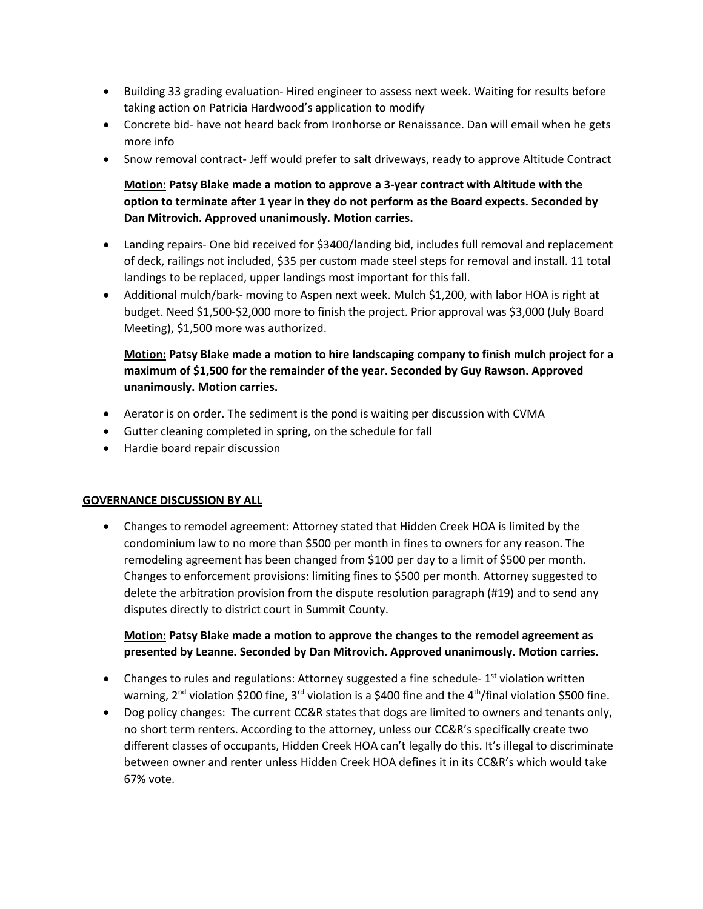- Building 33 grading evaluation- Hired engineer to assess next week. Waiting for results before taking action on Patricia Hardwood's application to modify
- Concrete bid- have not heard back from Ironhorse or Renaissance. Dan will email when he gets more info
- Snow removal contract- Jeff would prefer to salt driveways, ready to approve Altitude Contract

## **Motion: Patsy Blake made a motion to approve a 3-year contract with Altitude with the option to terminate after 1 year in they do not perform as the Board expects. Seconded by Dan Mitrovich. Approved unanimously. Motion carries.**

- Landing repairs- One bid received for \$3400/landing bid, includes full removal and replacement of deck, railings not included, \$35 per custom made steel steps for removal and install. 11 total landings to be replaced, upper landings most important for this fall.
- Additional mulch/bark- moving to Aspen next week. Mulch \$1,200, with labor HOA is right at budget. Need \$1,500-\$2,000 more to finish the project. Prior approval was \$3,000 (July Board Meeting), \$1,500 more was authorized.

### **Motion: Patsy Blake made a motion to hire landscaping company to finish mulch project for a maximum of \$1,500 for the remainder of the year. Seconded by Guy Rawson. Approved unanimously. Motion carries.**

- Aerator is on order. The sediment is the pond is waiting per discussion with CVMA
- Gutter cleaning completed in spring, on the schedule for fall
- Hardie board repair discussion

#### **GOVERNANCE DISCUSSION BY ALL**

• Changes to remodel agreement: Attorney stated that Hidden Creek HOA is limited by the condominium law to no more than \$500 per month in fines to owners for any reason. The remodeling agreement has been changed from \$100 per day to a limit of \$500 per month. Changes to enforcement provisions: limiting fines to \$500 per month. Attorney suggested to delete the arbitration provision from the dispute resolution paragraph (#19) and to send any disputes directly to district court in Summit County.

#### **Motion: Patsy Blake made a motion to approve the changes to the remodel agreement as presented by Leanne. Seconded by Dan Mitrovich. Approved unanimously. Motion carries.**

- Changes to rules and regulations: Attorney suggested a fine schedule-1<sup>st</sup> violation written warning, 2<sup>nd</sup> violation \$200 fine, 3<sup>rd</sup> violation is a \$400 fine and the 4<sup>th</sup>/final violation \$500 fine.
- Dog policy changes: The current CC&R states that dogs are limited to owners and tenants only, no short term renters. According to the attorney, unless our CC&R's specifically create two different classes of occupants, Hidden Creek HOA can't legally do this. It's illegal to discriminate between owner and renter unless Hidden Creek HOA defines it in its CC&R's which would take 67% vote.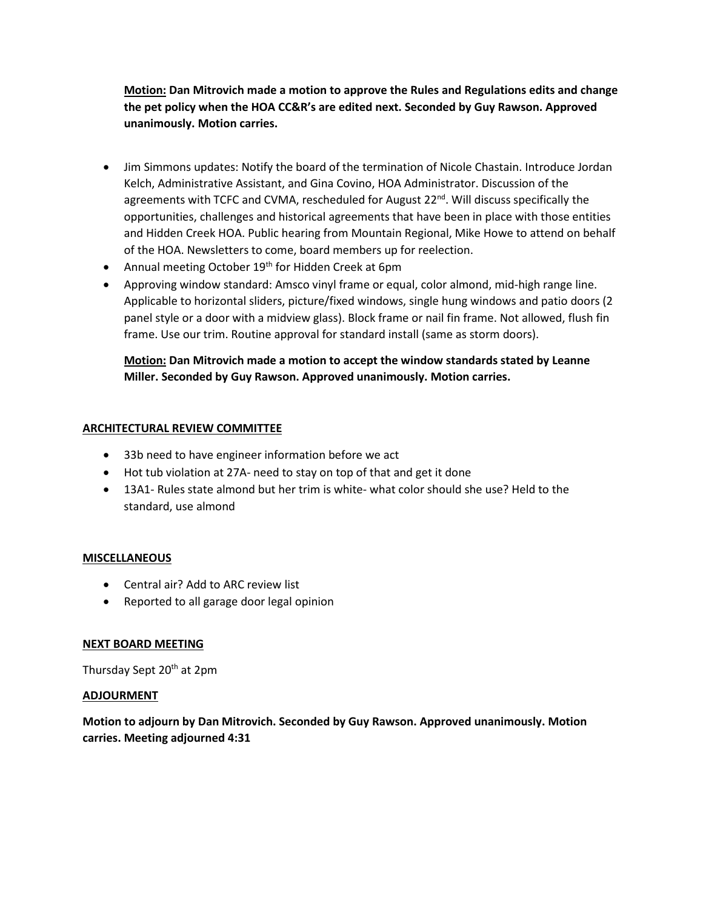**Motion: Dan Mitrovich made a motion to approve the Rules and Regulations edits and change the pet policy when the HOA CC&R's are edited next. Seconded by Guy Rawson. Approved unanimously. Motion carries.** 

- Jim Simmons updates: Notify the board of the termination of Nicole Chastain. Introduce Jordan Kelch, Administrative Assistant, and Gina Covino, HOA Administrator. Discussion of the agreements with TCFC and CVMA, rescheduled for August 22<sup>nd</sup>. Will discuss specifically the opportunities, challenges and historical agreements that have been in place with those entities and Hidden Creek HOA. Public hearing from Mountain Regional, Mike Howe to attend on behalf of the HOA. Newsletters to come, board members up for reelection.
- Annual meeting October 19<sup>th</sup> for Hidden Creek at 6pm
- Approving window standard: Amsco vinyl frame or equal, color almond, mid-high range line. Applicable to horizontal sliders, picture/fixed windows, single hung windows and patio doors (2 panel style or a door with a midview glass). Block frame or nail fin frame. Not allowed, flush fin frame. Use our trim. Routine approval for standard install (same as storm doors).

## **Motion: Dan Mitrovich made a motion to accept the window standards stated by Leanne Miller. Seconded by Guy Rawson. Approved unanimously. Motion carries.**

#### **ARCHITECTURAL REVIEW COMMITTEE**

- 33b need to have engineer information before we act
- Hot tub violation at 27A- need to stay on top of that and get it done
- 13A1- Rules state almond but her trim is white- what color should she use? Held to the standard, use almond

#### **MISCELLANEOUS**

- Central air? Add to ARC review list
- Reported to all garage door legal opinion

#### **NEXT BOARD MEETING**

Thursday Sept 20<sup>th</sup> at 2pm

#### **ADJOURMENT**

**Motion to adjourn by Dan Mitrovich. Seconded by Guy Rawson. Approved unanimously. Motion carries. Meeting adjourned 4:31**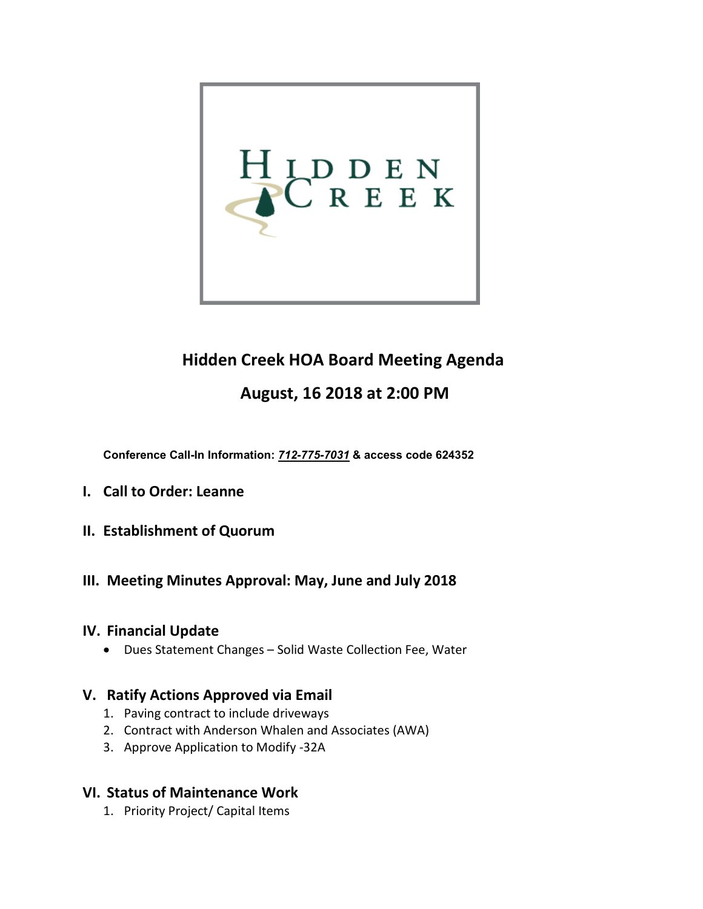

# **Hidden Creek HOA Board Meeting Agenda**

## **August, 16 2018 at 2:00 PM**

**Conference Call-In Information:** *712-775-7031* **& access code 624352**

- **I. Call to Order: Leanne**
- **II. Establishment of Quorum**

## **III. Meeting Minutes Approval: May, June and July 2018**

## **IV. Financial Update**

• Dues Statement Changes – Solid Waste Collection Fee, Water

## **V. Ratify Actions Approved via Email**

- 1. Paving contract to include driveways
- 2. Contract with Anderson Whalen and Associates (AWA)
- 3. Approve Application to Modify -32A

## **VI. Status of Maintenance Work**

1. Priority Project/ Capital Items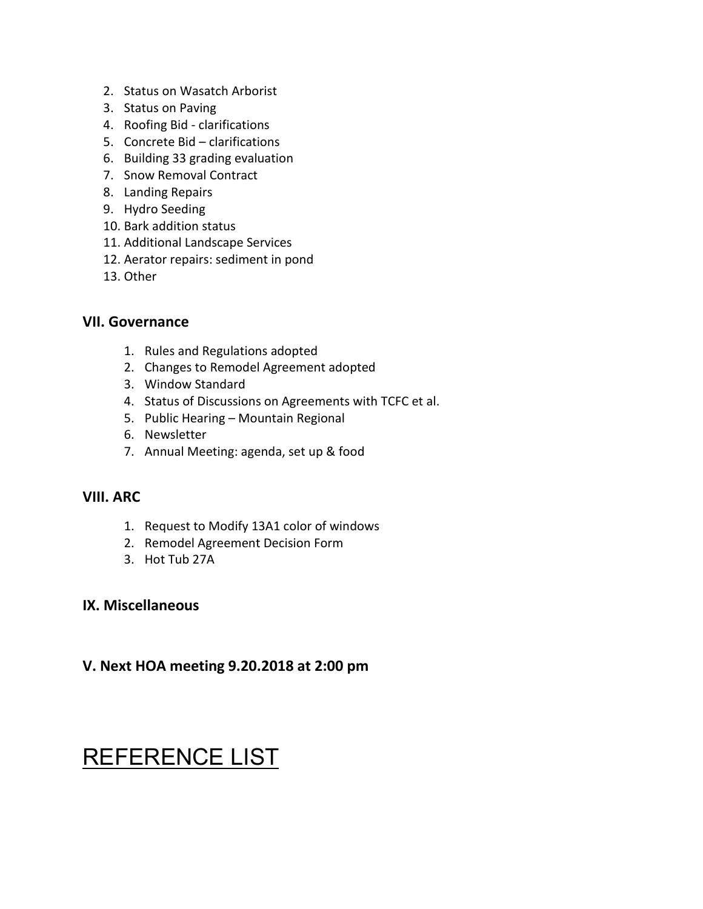- 2. Status on Wasatch Arborist
- 3. Status on Paving
- 4. Roofing Bid clarifications
- 5. Concrete Bid clarifications
- 6. Building 33 grading evaluation
- 7. Snow Removal Contract
- 8. Landing Repairs
- 9. Hydro Seeding
- 10. Bark addition status
- 11. Additional Landscape Services
- 12. Aerator repairs: sediment in pond
- 13. Other

## **VII. Governance**

- 1. Rules and Regulations adopted
- 2. Changes to Remodel Agreement adopted
- 3. Window Standard
- 4. Status of Discussions on Agreements with TCFC et al.
- 5. Public Hearing Mountain Regional
- 6. Newsletter
- 7. Annual Meeting: agenda, set up & food

## **VIII. ARC**

- 1. Request to Modify 13A1 color of windows
- 2. Remodel Agreement Decision Form
- 3. Hot Tub 27A

## **IX. Miscellaneous**

## **V. Next HOA meeting 9.20.2018 at 2:00 pm**

# REFERENCE LIST